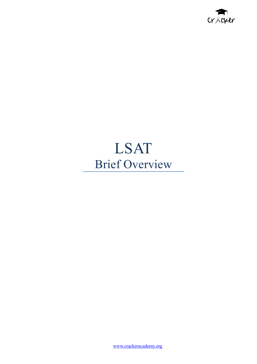

### LSAT Brief Overview

[www.crackeracademy.org](http://www.crackeracademy.org)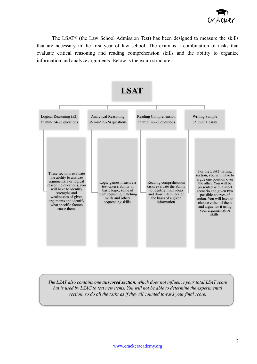

The LSAT® (the Law School Admission Test) has been designed to measure the skills that are necessary in the first year of law school. The exam is a combination of tasks that evaluate critical reasoning and reading comprehension skills and the ability to organize information and analyze arguments. Below is the exam structure:



*The LSAT also contains one unscored section, which does not influence your total LSAT score but is used by LSAC to test new items. You will not be able to determine the experimental section, so do all the tasks as if they all counted toward your final score.*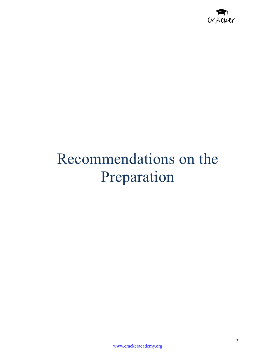

# Recommendations on the Preparation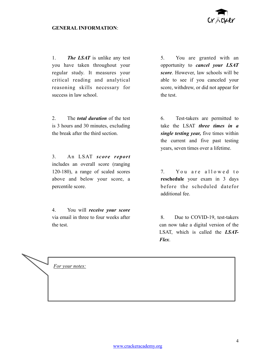

### **GENERAL INFORMATION**:

1. *The LSAT* is unlike any test you have taken throughout your regular study. It measures your critical reading and analytical reasoning skills necessary for success in law school.

2. The *total duration* of the test is 3 hours and 30 minutes, excluding the break after the third section.

3. An LSAT *score report* includes an overall score (ranging 120-180), a range of scaled scores above and below your score, a percentile score.

4. You will *receive your score* via email in three to four weeks after the test.

5. You are granted with an opportunity to *cancel your LSAT score*. However, law schools will be able to see if you canceled your score, withdrew, or did not appear for the test.

6. Test-takers are permitted to take the LSAT *three times in a single testing year,* five times within the current and five past testing years, seven times over a lifetime.

7. You are allowed to **reschedule** your exam in 3 days before the scheduled datefor additional fee.

8. Due to COVID-19, test-takers can now take a digital version of the LSAT, which is called the *LSAT-Flex*.

*For your notes:*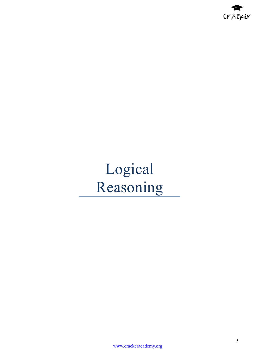

## Logical Reasoning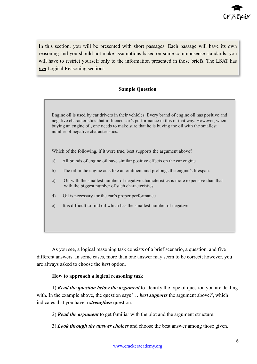

In this section, you will be presented with short passages. Each passage will have its own reasoning and you should not make assumptions based on some commonsense standards: you will have to restrict yourself only to the information presented in those briefs. The LSAT has *two* Logical Reasoning sections.

### **Sample Question**

Engine oil is used by car drivers in their vehicles. Every brand of engine oil has positive and negative characteristics that influence car's performance in this or that way. However, when buying an engine oil, one needs to make sure that he is buying the oil with the smallest number of negative characteristics.

Which of the following, if it were true, best supports the argument above?

- a) All brands of engine oil have similar positive effects on the car engine.
- b) The oil in the engine acts like an ointment and prolongs the engine's lifespan.
- c) Oil with the smallest number of negative characteristics is more expensive than that with the biggest number of such characteristics.
- d) Oil is necessary for the car's proper performance.
- e) It is difficult to find oil which has the smallest number of negative

As you see, a logical reasoning task consists of a brief scenario, a question, and five different answers. In some cases, more than one answer may seem to be correct; however, you are always asked to choose the *best* option.

#### **How to approach a logical reasoning task**

1) *Read the question below the argument* to identify the type of question you are dealing with. In the example above, the question says '... **best supports** the argument above?', which indicates that you have a *strengthen* question.

2) *Read the argument* to get familiar with the plot and the argument structure.

3) *Look through the answer choices* and choose the best answer among those given.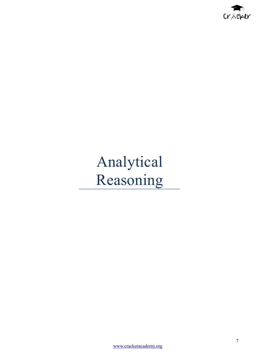

# Analytical Reasoning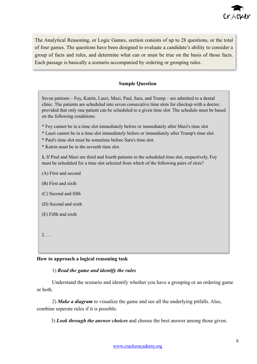

The Analytical Reasoning, or Logic Games, section consists of up to 28 questions, or the total of four games. The questions have been designed to evaluate a candidate's ability to consider a group of facts and rules, and determine what can or must be true on the basis of those facts. Each passage is basically a scenario accompanied by ordering or grouping rules.

### **Sample Question**

Seven patients – Foy, Katrin, Lauri, Maxi, Paul, Sara, and Trump – are admitted to a dental clinic. The patients are scheduled into seven consecutive time slots for checkup with a doctor, provided that only one patient can be scheduled to a given time slot. The schedule must be based on the following conditions:

- \* Foy cannot be in a time slot immediately before or immediately after Maxi's time slot
- \* Lauri cannot be in a time slot immediately before or immediately after Trump's time slot.
- \* Paul's time slot must be sometime before Sara's time slot.
- \* Katrin must be in the seventh time slot.

**1.** If Paul and Maxi are third and fourth patients in the scheduled time slot, respectively, Foy must be scheduled for a time slot selected from which of the following pairs of slots?

- (A) First and second
- (B) First and sixth
- (C) Second and fifth
- (D) Second and sixth
- (E) Fifth and sixth
- 2. …

#### **How to approach a logical reasoning task**

### 1) *Read the game and identify the rules*

Understand the scenario and identify whether you have a grouping or an ordering game or both.

2) *Make a diagram* to visualize the game and see all the underlying pitfalls. Also, combine seperate rules if it is possible.

3) *Look through the answer choices* and choose the best answer among those given.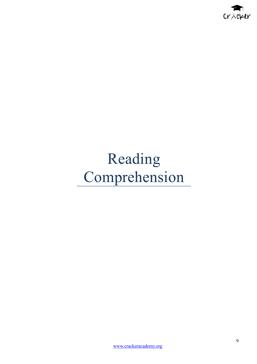

# Reading Comprehension